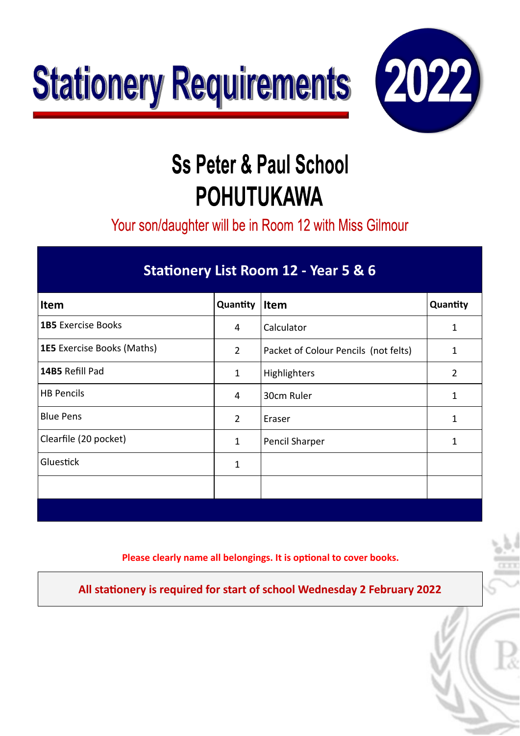



Your son/daughter will be in Room 12 with Miss Gilmour

#### **Statonery List Room 12 - Year 5 & 6**

| <b>Item</b>                       | Quantity       | Item                                 | Quantity       |
|-----------------------------------|----------------|--------------------------------------|----------------|
| <b>1B5</b> Exercise Books         | 4              | Calculator                           | 1              |
| <b>1E5</b> Exercise Books (Maths) | $\overline{2}$ | Packet of Colour Pencils (not felts) | 1              |
| 14B5 Refill Pad                   | 1              | Highlighters                         | $\overline{2}$ |
| <b>HB Pencils</b>                 | 4              | 30cm Ruler                           | 1              |
| <b>Blue Pens</b>                  | $\overline{2}$ | Eraser                               |                |
| Clearfile (20 pocket)             | 1              | Pencil Sharper                       |                |
| Gluestick                         | 1              |                                      |                |
|                                   |                |                                      |                |
|                                   |                |                                      |                |

**Please clearly name all belongings. It is optonal to cover books.**

**All statonery is required for start of school Wednesday 2 February 2022**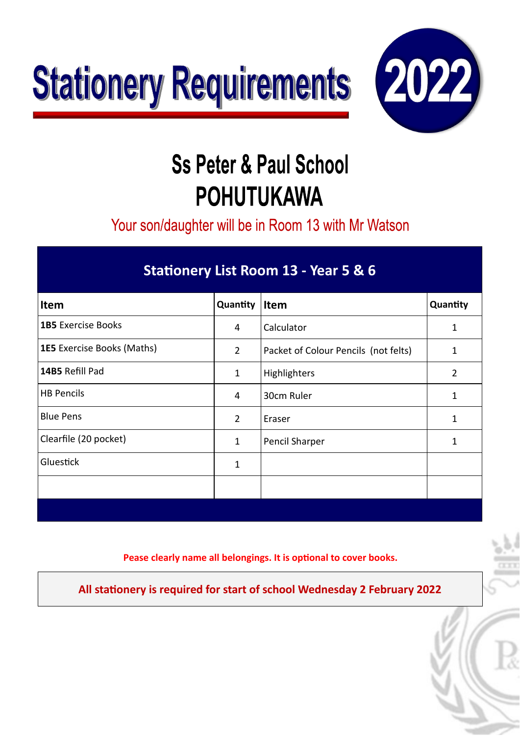



Your son/daughter will be in Room 13 with Mr Watson

| Stationery List Room 13 - Year 5 & 6 |  |
|--------------------------------------|--|
|                                      |  |

| Item                              | Quantity       | Item                                 | Quantity       |
|-----------------------------------|----------------|--------------------------------------|----------------|
| <b>1B5</b> Exercise Books         | 4              | Calculator                           |                |
| <b>1E5</b> Exercise Books (Maths) | $\overline{2}$ | Packet of Colour Pencils (not felts) | 1              |
| 14B5 Refill Pad                   | 1              | Highlighters                         | $\overline{2}$ |
| <b>HB Pencils</b>                 | 4              | 30cm Ruler                           | 1              |
| <b>Blue Pens</b>                  | $\overline{2}$ | Eraser                               |                |
| Clearfile (20 pocket)             | 1              | Pencil Sharper                       |                |
| Gluestick                         | 1              |                                      |                |
|                                   |                |                                      |                |
|                                   |                |                                      |                |

**Pease clearly name all belongings. It is optonal to cover books.**

**All statonery is required for start of school Wednesday 2 February 2022**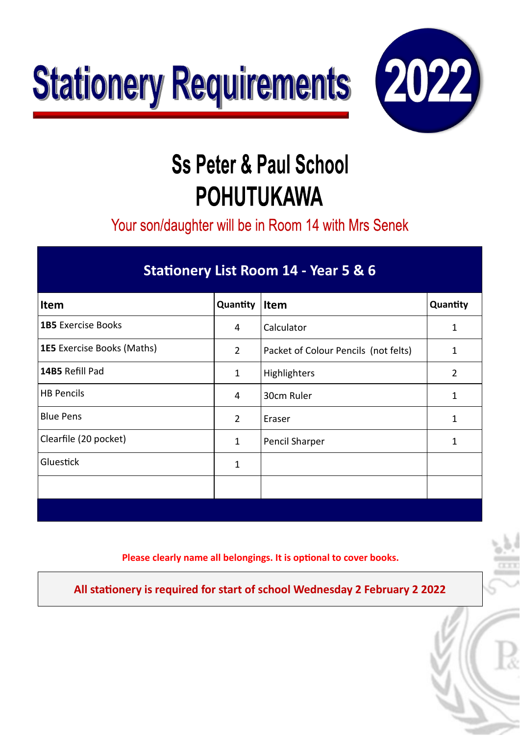



Your son/daughter will be in Room 14 with Mrs Senek

#### **Statonery List Room 14 - Year 5 & 6**

| Item                              | Quantity       | Item                                 | Quantity       |
|-----------------------------------|----------------|--------------------------------------|----------------|
| <b>1B5</b> Exercise Books         | 4              | Calculator                           | 1              |
| <b>1E5</b> Exercise Books (Maths) | $\overline{2}$ | Packet of Colour Pencils (not felts) | 1              |
| 14B5 Refill Pad                   | 1              | Highlighters                         | $\overline{2}$ |
| <b>HB Pencils</b>                 | 4              | 30cm Ruler                           | 1              |
| <b>Blue Pens</b>                  | $\overline{2}$ | Eraser                               |                |
| Clearfile (20 pocket)             | 1              | Pencil Sharper                       | 1              |
| Gluestick                         | 1              |                                      |                |
|                                   |                |                                      |                |
|                                   |                |                                      |                |

**Please clearly name all belongings. It is optonal to cover books.**

**All statonery is required for start of school Wednesday 2 February 2 2022**